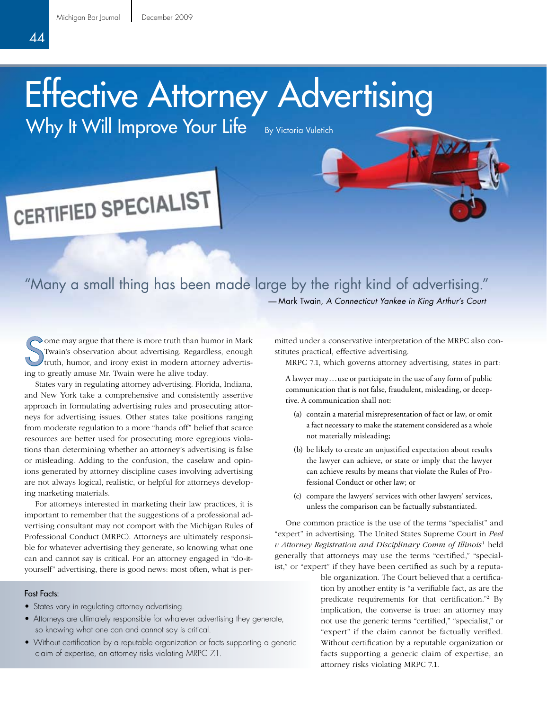## Effective Attorney Advertising

Why It Will Improve Your Life By Victoria Vuletich

# CERTIFIED SPECIALIST

### "Many a small thing has been made large by the right kind of advertising." — Mark Twain, *A Connecticut Yankee in King Arthur's Court*

S  $\sim$  ome may argue that there is more truth than humor in Mark Twain's observation about advertising. Regardless, enough truth, humor, and irony exist in modern attorney advertising to greatly amuse Mr. Twain were he alive today.

States vary in regulating attorney advertising. Florida, Indiana, and New York take a comprehensive and consistently assertive approach in formulating advertising rules and prosecuting attorneys for advertising issues. Other states take positions ranging from moderate regulation to a more "hands off" belief that scarce resources are better used for prosecuting more egregious violations than determining whether an attorney's advertising is false or misleading. Adding to the confusion, the caselaw and opinions generated by attorney discipline cases involving advertising are not always logical, realistic, or helpful for attorneys developing marketing materials.

For attorneys interested in marketing their law practices, it is important to remember that the suggestions of a professional advertising consultant may not comport with the Michigan Rules of Professional Conduct (MRPC). Attorneys are ultimately responsible for whatever advertising they generate, so knowing what one can and cannot say is critical. For an attorney engaged in "do-ityourself" advertising, there is good news: most often, what is per-

#### Fast Facts:

- States vary in regulating attorney advertising.
- Attorneys are ultimately responsible for whatever advertising they generate, so knowing what one can and cannot say is critical.
- Without certification by a reputable organization or facts supporting a generic claim of expertise, an attorney risks violating MRPC 7.1.

mitted under a conservative interpretation of the MRPC also constitutes practical, effective advertising.

MRPC 7.1, which governs attorney advertising, states in part:

A lawyer may...use or participate in the use of any form of public communication that is not false, fraudulent, misleading, or deceptive. A communication shall not:

- (a) contain a material misrepresentation of fact or law, or omit a fact necessary to make the statement considered as a whole not materially misleading;
- (b) be likely to create an unjustified expectation about results the lawyer can achieve, or state or imply that the lawyer can achieve results by means that violate the Rules of Professional Conduct or other law; or
- (c) compare the lawyers' services with other lawyers' services, unless the comparison can be factually substantiated.

One common practice is the use of the terms "specialist" and "expert" in advertising. The United States Supreme Court in *Peel v Attorney Registration and Disciplinary Comm of Illinois*<sup>1</sup> held generally that attorneys may use the terms "certified," "specialist," or "expert" if they have been certified as such by a reputa-

> ble organization. The Court believed that a certification by another entity is "a verifiable fact, as are the predicate requirements for that certification."<sup>2</sup> By implication, the converse is true: an attorney may not use the generic terms "certified," "specialist," or "expert" if the claim cannot be factually verified. Without certification by a reputable organization or facts supporting a generic claim of expertise, an attorney risks violating MRPC 7.1.